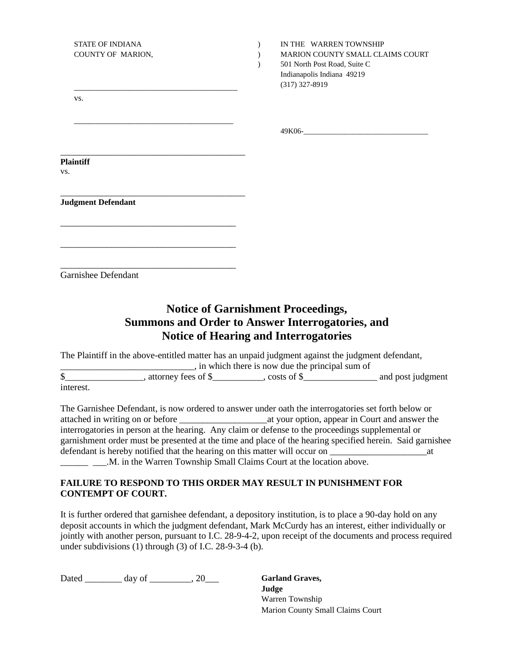| <b>STATE OF INDIANA</b><br>COUNTY OF MARION, | IN THE WARREN TOWNSHIP<br>MARION COUNTY SMALL CLAIMS COURT<br>501 North Post Road, Suite C<br>Indianapolis Indiana 49219<br>$(317)$ 327-8919 |
|----------------------------------------------|----------------------------------------------------------------------------------------------------------------------------------------------|
| VS.                                          |                                                                                                                                              |
|                                              |                                                                                                                                              |
| <b>Plaintiff</b><br>VS.                      |                                                                                                                                              |
|                                              |                                                                                                                                              |
| <b>Judgment Defendant</b>                    |                                                                                                                                              |
|                                              |                                                                                                                                              |
| Garnishee Defendant                          |                                                                                                                                              |

## **Notice of Garnishment Proceedings, Summons and Order to Answer Interrogatories, and Notice of Hearing and Interrogatories**

|           | The Plaintiff in the above-entitled matter has an unpaid judgment against the judgment defendant, |               |                   |  |  |
|-----------|---------------------------------------------------------------------------------------------------|---------------|-------------------|--|--|
|           | , in which there is now due the principal sum of                                                  |               |                   |  |  |
|           | attorney fees of \$                                                                               | . costs of \$ | and post judgment |  |  |
| interest. |                                                                                                   |               |                   |  |  |

The Garnishee Defendant, is now ordered to answer under oath the interrogatories set forth below or attached in writing on or before \_\_\_\_\_\_\_\_\_\_\_\_\_\_\_\_\_\_\_at your option, appear in Court and answer the interrogatories in person at the hearing. Any claim or defense to the proceedings supplemental or garnishment order must be presented at the time and place of the hearing specified herein. Said garnishee defendant is hereby notified that the hearing on this matter will occur on \_\_\_\_\_\_\_\_\_\_\_\_\_\_\_\_\_\_\_\_\_at

\_\_\_\_\_\_\_ \_\_\_.M. in the Warren Township Small Claims Court at the location above.

## **FAILURE TO RESPOND TO THIS ORDER MAY RESULT IN PUNISHMENT FOR CONTEMPT OF COURT.**

It is further ordered that garnishee defendant, a depository institution, is to place a 90-day hold on any deposit accounts in which the judgment defendant, Mark McCurdy has an interest, either individually or jointly with another person, pursuant to I.C. 28-9-4-2, upon receipt of the documents and process required under subdivisions  $(1)$  through  $(3)$  of I.C. 28-9-3-4  $(b)$ .

Dated day of \_\_\_\_\_\_\_, 20\_\_\_ **Garland Graves,** 

**Judge** Warren Township Marion County Small Claims Court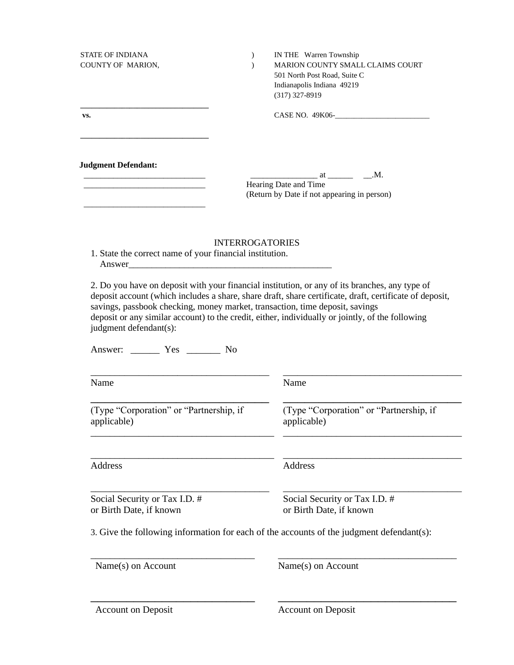| <b>Judgment Defendant:</b><br>Hearing Date and Time<br>the contract of the contract of the contract of the contract of the contract of<br><b>INTERROGATORIES</b><br>1. State the correct name of your financial institution.<br>Answer<br>2. Do you have on deposit with your financial institution, or any of its branches, any type of<br>deposit account (which includes a share, share draft, share certificate, draft, certificate of deposit,<br>savings, passbook checking, money market, transaction, time deposit, savings<br>deposit or any similar account) to the credit, either, individually or jointly, of the following<br>judgment defendant(s):<br>Answer: ________ Yes _______ No<br>Name<br>Name<br>(Type "Corporation" or "Partnership, if<br>applicable)<br>Address<br>Address<br>Social Security or Tax I.D. #<br>or Birth Date, if known<br>3. Give the following information for each of the accounts of the judgment defendant(s): | IN THE Warren Township<br>MARION COUNTY SMALL CLAIMS COURT<br>501 North Post Road, Suite C<br>Indianapolis Indiana 49219<br>$(317)$ 327-8919 |  |  |
|--------------------------------------------------------------------------------------------------------------------------------------------------------------------------------------------------------------------------------------------------------------------------------------------------------------------------------------------------------------------------------------------------------------------------------------------------------------------------------------------------------------------------------------------------------------------------------------------------------------------------------------------------------------------------------------------------------------------------------------------------------------------------------------------------------------------------------------------------------------------------------------------------------------------------------------------------------------|----------------------------------------------------------------------------------------------------------------------------------------------|--|--|
|                                                                                                                                                                                                                                                                                                                                                                                                                                                                                                                                                                                                                                                                                                                                                                                                                                                                                                                                                              |                                                                                                                                              |  |  |
|                                                                                                                                                                                                                                                                                                                                                                                                                                                                                                                                                                                                                                                                                                                                                                                                                                                                                                                                                              | (Return by Date if not appearing in person)                                                                                                  |  |  |
|                                                                                                                                                                                                                                                                                                                                                                                                                                                                                                                                                                                                                                                                                                                                                                                                                                                                                                                                                              |                                                                                                                                              |  |  |
|                                                                                                                                                                                                                                                                                                                                                                                                                                                                                                                                                                                                                                                                                                                                                                                                                                                                                                                                                              |                                                                                                                                              |  |  |
|                                                                                                                                                                                                                                                                                                                                                                                                                                                                                                                                                                                                                                                                                                                                                                                                                                                                                                                                                              |                                                                                                                                              |  |  |
|                                                                                                                                                                                                                                                                                                                                                                                                                                                                                                                                                                                                                                                                                                                                                                                                                                                                                                                                                              | (Type "Corporation" or "Partnership, if<br>applicable)                                                                                       |  |  |
|                                                                                                                                                                                                                                                                                                                                                                                                                                                                                                                                                                                                                                                                                                                                                                                                                                                                                                                                                              |                                                                                                                                              |  |  |
|                                                                                                                                                                                                                                                                                                                                                                                                                                                                                                                                                                                                                                                                                                                                                                                                                                                                                                                                                              |                                                                                                                                              |  |  |
|                                                                                                                                                                                                                                                                                                                                                                                                                                                                                                                                                                                                                                                                                                                                                                                                                                                                                                                                                              | Social Security or Tax I.D. #<br>or Birth Date, if known                                                                                     |  |  |
| Name(s) on Account<br>Name(s) on Account                                                                                                                                                                                                                                                                                                                                                                                                                                                                                                                                                                                                                                                                                                                                                                                                                                                                                                                     |                                                                                                                                              |  |  |

Account on Deposit

Account on Deposit